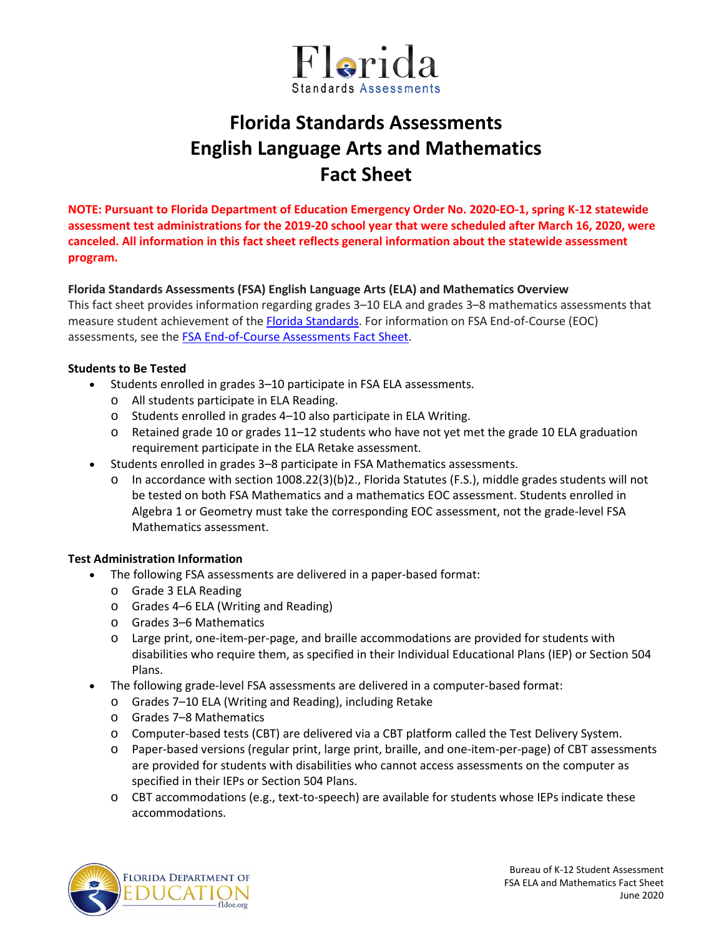

# **Florida Standards Assessments English Language Arts and Mathematics Fact Sheet**

**NOTE: Pursuant to Florida Department of Education Emergency Order No. 2020-EO-1, spring K-12 statewide assessment test administrations for the 2019-20 school year that were scheduled after March 16, 2020, were canceled. All information in this fact sheet reflects general information about the statewide assessment program.**

### **Florida Standards Assessments (FSA) English Language Arts (ELA) and Mathematics Overview**

This fact sheet provides information regarding grades 3–10 ELA and grades 3–8 mathematics assessments that measure student achievement of th[e Florida Standards.](http://www.cpalms.org/Public/) For information on FSA End-of-Course (EOC) assessments, see the **FSA End-of-Course Assessments Fact Sheet**.

### **Students to Be Tested**

- Students enrolled in grades 3–10 participate in FSA ELA assessments.
	- o All students participate in ELA Reading.
	- o Students enrolled in grades 4–10 also participate in ELA Writing.
	- o Retained grade 10 or grades 11–12 students who have not yet met the grade 10 ELA graduation requirement participate in the ELA Retake assessment.
- Students enrolled in grades 3–8 participate in FSA Mathematics assessments.
	- o In accordance with section 1008.22(3)(b)2., Florida Statutes (F.S.), middle grades students will not be tested on both FSA Mathematics and a mathematics EOC assessment. Students enrolled in Algebra 1 or Geometry must take the corresponding EOC assessment, not the grade-level FSA Mathematics assessment.

## **Test Administration Information**

- The following FSA assessments are delivered in a paper-based format:
	- o Grade 3 ELA Reading
	- o Grades 4–6 ELA (Writing and Reading)
	- o Grades 3–6 Mathematics
	- o Large print, one-item-per-page, and braille accommodations are provided for students with disabilities who require them, as specified in their Individual Educational Plans (IEP) or Section 504 Plans.
- The following grade-level FSA assessments are delivered in a computer-based format:
	- o Grades 7–10 ELA (Writing and Reading), including Retake
	- o Grades 7–8 Mathematics
	- o Computer-based tests (CBT) are delivered via a CBT platform called the Test Delivery System.
	- o Paper-based versions (regular print, large print, braille, and one-item-per-page) of CBT assessments are provided for students with disabilities who cannot access assessments on the computer as specified in their IEPs or Section 504 Plans.
	- o CBT accommodations (e.g., text-to-speech) are available for students whose IEPs indicate these accommodations.

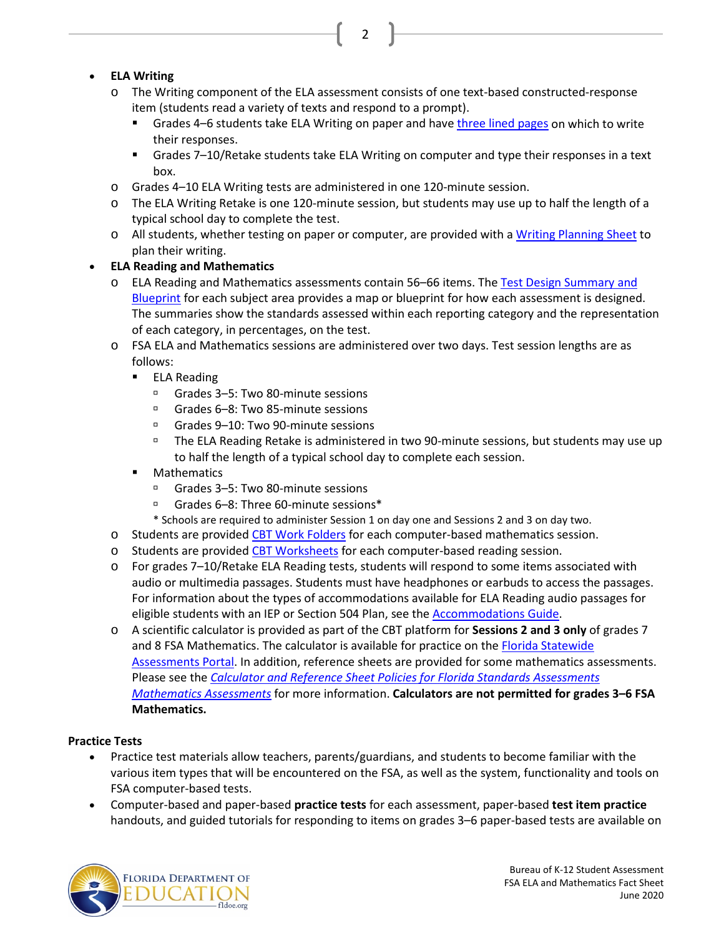# • **ELA Writing**

o The Writing component of the ELA assessment consists of one text-based constructed-response item (students read a variety of texts and respond to a prompt).

2

- **F** Grades 4–6 students take ELA Writing on paper and hav[e three lined pages](https://fsassessments.org/core/fileparse.php/3031/urlt/FSA-Writing-Response-Pages-Template-1.pdf) on which to write their responses.
- Grades 7–10/Retake students take ELA Writing on computer and type their responses in a text box.
- o Grades 4–10 ELA Writing tests are administered in one 120-minute session.
- o The ELA Writing Retake is one 120-minute session, but students may use up to half the length of a typical school day to complete the test.
- o All students, whether testing on paper or computer, are provided with [a Writing Planning Sheet](https://fsassessments.org/core/fileparse.php/3031/urlt/FSA-Writing-Planning-Template_011515.pdf) to plan their writing.

# • **ELA Reading and Mathematics**

- o ELA Reading and Mathematics assessments contain 56-66 items. The Test Design Summary and [Blueprint](https://fsassessments.org/florida-statewide-assessment-program/about-the-fsas.stml) for each subject area provides a map or blueprint for how each assessment is designed. The summaries show the standards assessed within each reporting category and the representation of each category, in percentages, on the test.
- o FSA ELA and Mathematics sessions are administered over two days. Test session lengths are as follows:
	- **ELA Reading** 
		- □ Grades 3–5: Two 80-minute sessions
		- Grades 6–8: Two 85-minute sessions
		- □ Grades 9–10: Two 90-minute sessions
		- The ELA Reading Retake is administered in two 90-minute sessions, but students may use up to half the length of a typical school day to complete each session.
	- **•** Mathematics
		- Grades 3–5: Two 80-minute sessions
		- Grades 6–8: Three 60-minute sessions\*
		- \* Schools are required to administer Session 1 on day one and Sessions 2 and 3 on day two.
- o Students are provided [CBT Work Folders](https://fsassessments.org/core/fileparse.php/3031/urlt/FSA_SP18_CBT-Work-Folder_BL1_FDOE.pdf) for each computer-based mathematics session.
- o Students are provided [CBT Worksheets](https://fsassessments.org/core/fileparse.php/3031/urlt/FSA_CBT_Worksheet_Final_BL.pdf) for each computer-based reading session.
- o For grades 7–10/Retake ELA Reading tests, students will respond to some items associated with audio or multimedia passages. Students must have headphones or earbuds to access the passages. For information about the types of accommodations available for ELA Reading audio passages for eligible students with an IEP or Section 504 Plan, see the [Accommodations Guide.](https://fsassessments.org/resources/user-guides-and-manuals/#1526)
- o A scientific calculator is provided as part of the CBT platform for **Sessions 2 and 3 only** of grades 7 and 8 FSA Mathematics. The calculator is available for practice on the [Florida Statewide](http://www.fsassessments.org/)  [Assessments](http://www.fsassessments.org/) Portal. In addition, reference sheets are provided for some mathematics assessments. Please see the *[Calculator and Reference Sheet Policies for Florida Standards Assessments](http://www.fldoe.org/core/fileparse.php/5663/urlt/FSACalcRefSheetPolicy.pdf)  [Mathematics Assessments](http://www.fldoe.org/core/fileparse.php/5663/urlt/FSACalcRefSheetPolicy.pdf)* for more information. **Calculators are not permitted for grades 3–6 FSA Mathematics.**

## **Practice Tests**

- Practice test materials allow teachers, parents/guardians, and students to become familiar with the various item types that will be encountered on the FSA, as well as the system, functionality and tools on FSA computer-based tests.
- Computer-based and paper-based **practice tests** for each assessment, paper-based **test item practice** handouts, and guided tutorials for responding to items on grades 3–6 paper-based tests are available on

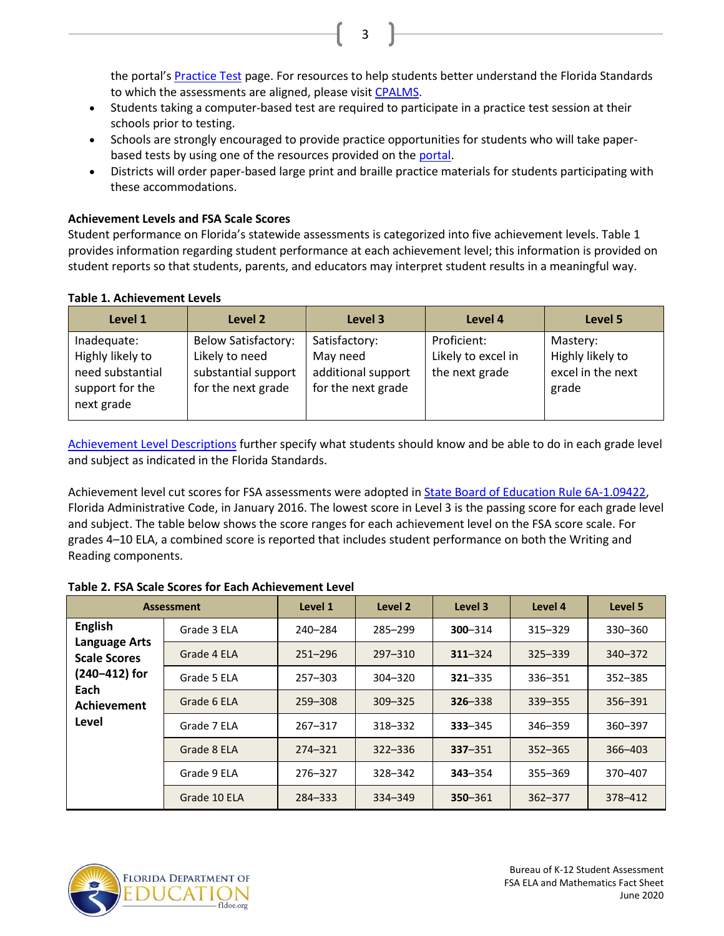the portal'[s Practice Test](https://fsassessments.org/students-and-families/practice-tests/index.stml) page. For resources to help students better understand the Florida Standards to which the assessments are aligned, please visit [CPALMS.](http://www.cpalms.org/Public/)

• Students taking a computer-based test are required to participate in a practice test session at their schools prior to testing.

3

- Schools are strongly encouraged to provide practice opportunities for students who will take paperbased tests by using one of the resources provided on th[e portal.](https://fsassessments.org/)
- Districts will order paper-based large print and braille practice materials for students participating with these accommodations.

### **Achievement Levels and FSA Scale Scores**

Student performance on Florida's statewide assessments is categorized into five achievement levels. Table 1 provides information regarding student performance at each achievement level; this information is provided on student reports so that students, parents, and educators may interpret student results in a meaningful way.

#### **Table 1. Achievement Levels**

| Level 1                                                                              | Level 2                                                                                   | Level 3                                                               | Level 4                                             | Level 5                                                    |
|--------------------------------------------------------------------------------------|-------------------------------------------------------------------------------------------|-----------------------------------------------------------------------|-----------------------------------------------------|------------------------------------------------------------|
| Inadequate:<br>Highly likely to<br>need substantial<br>support for the<br>next grade | <b>Below Satisfactory:</b><br>Likely to need<br>substantial support<br>for the next grade | Satisfactory:<br>May need<br>additional support<br>for the next grade | Proficient:<br>Likely to excel in<br>the next grade | Mastery:<br>Highly likely to<br>excel in the next<br>grade |

[Achievement Level Descriptions](http://www.fldoe.org/core/fileparse.php/5663/urlt/2015FSARangeSummary.pdf) further specify what students should know and be able to do in each grade level and subject as indicated in the Florida Standards.

Achievement level cut scores for FSA assessments were adopted in [State Board of Education Rule 6A-1.09422,](https://www.flrules.org/gateway/ruleNo.asp?id=6A-1.09422) Florida Administrative Code, in January 2016. The lowest score in Level 3 is the passing score for each grade level and subject. The table below shows the score ranges for each achievement level on the FSA score scale. For grades 4–10 ELA, a combined score is reported that includes student performance on both the Writing and Reading components.

| <b>Assessment</b>                                                                                              |              | Level 1     | Level 2     | Level 3     | Level 4     | Level 5     |
|----------------------------------------------------------------------------------------------------------------|--------------|-------------|-------------|-------------|-------------|-------------|
| <b>English</b><br><b>Language Arts</b><br><b>Scale Scores</b><br>(240-412) for<br>Each<br>Achievement<br>Level | Grade 3 ELA  | 240-284     | 285-299     | $300 - 314$ | $315 - 329$ | 330-360     |
|                                                                                                                | Grade 4 ELA  | $251 - 296$ | $297 - 310$ | $311 - 324$ | $325 - 339$ | 340-372     |
|                                                                                                                | Grade 5 ELA  | $257 - 303$ | $304 - 320$ | $321 - 335$ | 336-351     | $352 - 385$ |
|                                                                                                                | Grade 6 ELA  | 259-308     | $309 - 325$ | $326 - 338$ | 339 - 355   | 356-391     |
|                                                                                                                | Grade 7 ELA  | $267 - 317$ | 318-332     | $333 - 345$ | 346-359     | 360-397     |
|                                                                                                                | Grade 8 ELA  | 274-321     | $322 - 336$ | $337 - 351$ | $352 - 365$ | $366 - 403$ |
|                                                                                                                | Grade 9 ELA  | 276-327     | 328-342     | $343 - 354$ | 355-369     | 370-407     |
|                                                                                                                | Grade 10 ELA | 284-333     | 334-349     | 350 - 361   | $362 - 377$ | 378-412     |

#### **Table 2. FSA Scale Scores for Each Achievement Level**